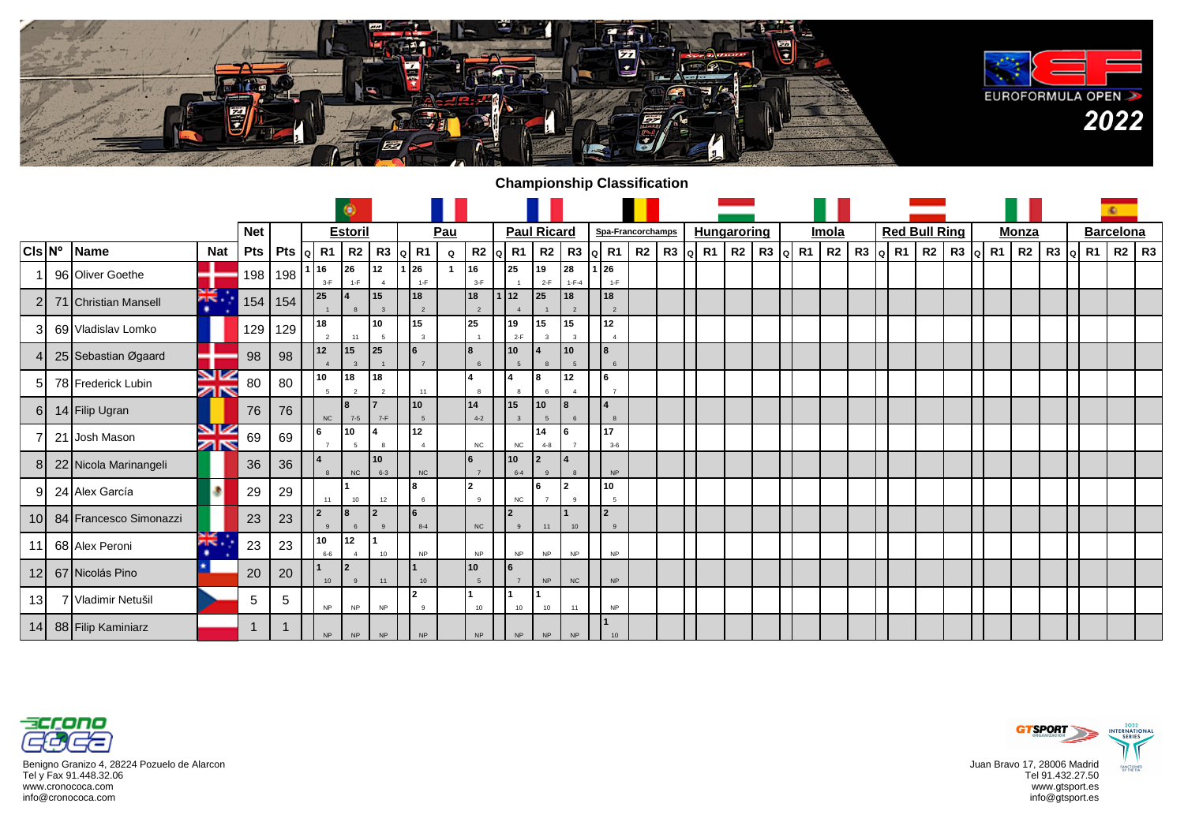

## **Championship Classification**

|                   |                        |            |            |                                          |                      |                      |                                      |                                    |             |                                |                                   |                    |                               |              |                   |  |                    |                  |                |  |                      |    |    |          |              |                    |  | ×.               |  |
|-------------------|------------------------|------------|------------|------------------------------------------|----------------------|----------------------|--------------------------------------|------------------------------------|-------------|--------------------------------|-----------------------------------|--------------------|-------------------------------|--------------|-------------------|--|--------------------|------------------|----------------|--|----------------------|----|----|----------|--------------|--------------------|--|------------------|--|
|                   |                        |            | <b>Net</b> |                                          |                      | <b>Estoril</b>       |                                      |                                    | Pau         |                                |                                   | <b>Paul Ricard</b> |                               |              | Spa-Francorchamps |  | <b>Hungaroring</b> |                  | Imola          |  | <b>Red Bull Ring</b> |    |    |          | <b>Monza</b> |                    |  | <b>Barcelona</b> |  |
| $ CIs N^{\circ} $ | Name                   | <b>Nat</b> | Pts        | Pts $\left  \right $ R1 $\left  \right $ |                      |                      | R <sub>2</sub> R <sub>3</sub><br>l۵۱ | R1                                 | $\mathbf Q$ | $R2$ Q R1                      |                                   | R <sub>2</sub>     | R3                            | $ a $ R1 $ $ | R2                |  | $R3$ $\alpha$ $R1$ | R2   R3   Q   R1 | R <sub>2</sub> |  | $R3$ $\alpha$ $R1$   | R2 | R3 | $ q $ R1 | <b>R2</b>    | $R3$ $\alpha$ $R1$ |  | $R2$ R3          |  |
|                   | 96 Oliver Goethe       |            | 198        | 198                                      | 16<br>$3-F$          | 26<br>$1-F$          | 12<br>$\overline{a}$                 | 26<br>$1-F$                        |             | 16<br>$3-F$                    | 25                                | 19<br>$2-F$        | 28<br>$1 - F - 4$             | 1 I 26       | $1-F$             |  |                    |                  |                |  |                      |    |    |          |              |                    |  |                  |  |
|                   | 71 Christian Mansell   | ă<br>٠     | 154        | 154                                      | 25                   |                      | 15<br>$\mathbf{R}$                   | 18<br>$\overline{2}$               |             | 18                             | 12                                | 25                 | 18<br>$\mathcal{P}$           | 18           | $\overline{2}$    |  |                    |                  |                |  |                      |    |    |          |              |                    |  |                  |  |
| 31                | 69 Vladislav Lomko     |            | 129        | 129                                      | 18                   |                      | 10<br>5                              | 15<br>$\mathbf{3}$                 |             | 25                             | 19<br>$2-F$                       | 15                 | 15<br>$\overline{\mathbf{z}}$ | 12           |                   |  |                    |                  |                |  |                      |    |    |          |              |                    |  |                  |  |
|                   | 25 Sebastian Øgaard    |            | 98         | 98                                       | 12<br>$\Delta$       | 15                   | $ 25\rangle$                         | 16<br>$\overline{7}$               |             | $\mathbf{R}$                   | 10 <sup>1</sup><br>$\overline{5}$ |                    | 10<br>$\overline{5}$          | l 8          | 6                 |  |                    |                  |                |  |                      |    |    |          |              |                    |  |                  |  |
| 51                | 78 Frederick Lubin     | VZ<br>Øß   | 80         | 80                                       | 10<br>$\overline{a}$ | 18<br>$\overline{2}$ | 18<br>$\overline{2}$                 | 11                                 |             |                                |                                   | l8                 | 12<br>$\overline{4}$          | 6            |                   |  |                    |                  |                |  |                      |    |    |          |              |                    |  |                  |  |
| 6I                | 14 Filip Ugran         |            | 76         | 76                                       | NC                   | l8<br>$7 - 5$        | $7-F$                                | 10<br>$\sqrt{5}$                   |             | 14<br>$4 - 2$                  | 15                                | 10<br>5            |                               |              |                   |  |                    |                  |                |  |                      |    |    |          |              |                    |  |                  |  |
|                   | 21 Josh Mason          | VK<br>ZK   | 69         | 69                                       | l 6                  | l 10<br>5            | $\mathbf{R}$                         | 12<br>$\overline{4}$               |             | ${\sf NC}$                     | NC                                | 14<br>$4 - 8$      | $\overline{7}$                | 17           | $3 - 6$           |  |                    |                  |                |  |                      |    |    |          |              |                    |  |                  |  |
| 81                | 22 Nicola Marinangeli  |            | 36         | 36                                       | $\mathbf{R}$         | NC                   | 10<br>$6 - 3$                        | NC                                 |             | 6<br>$\overline{7}$            | 10<br>$6 - 4$                     | 2<br>$\mathbf{q}$  | $\mathbf{g}$                  |              | <b>NP</b>         |  |                    |                  |                |  |                      |    |    |          |              |                    |  |                  |  |
| 91                | 24 Alex García         |            | 29         | 29                                       | 11                   | 10                   | 12                                   | <b>8</b><br>6                      |             | $\overline{2}$<br>$\mathbf{q}$ | NC                                | l 6                | 12<br>9                       | 10           | -5                |  |                    |                  |                |  |                      |    |    |          |              |                    |  |                  |  |
| 10 <sup>1</sup>   | 84 Francesco Simonazzi |            | 23         | 23                                       | <b>2</b><br>$\alpha$ | 18<br>6              | l2<br>$\alpha$                       | $8 - 4$                            |             | NC                             | <u> 2</u>                         | 11                 | 10                            | $\mathbf{r}$ | $\overline{9}$    |  |                    |                  |                |  |                      |    |    |          |              |                    |  |                  |  |
| 11                | 68 Alex Peroni         | Ж.<br>۰    | 23         | 23                                       | 10<br>$6-6$          | 12<br>$\overline{4}$ | 10                                   | <b>NP</b>                          |             | <b>NP</b>                      | <b>NP</b>                         | <b>NP</b>          | <b>NP</b>                     |              | <b>NP</b>         |  |                    |                  |                |  |                      |    |    |          |              |                    |  |                  |  |
| 12 <sup>1</sup>   | 67 Nicolás Pino        |            | 20         | 20                                       | 10                   | $\mathsf{I}2$        | 11                                   | 10                                 |             | 10                             | l6                                | <b>NP</b>          | NC                            |              | <b>NP</b>         |  |                    |                  |                |  |                      |    |    |          |              |                    |  |                  |  |
| 13 <sup>l</sup>   | 7 Vladimir Netušil     |            | 5          | 5                                        | <b>NP</b>            | <b>NP</b>            | <b>NP</b>                            | $\overline{\phantom{a}}$<br>$_{9}$ |             | 10                             | 10                                | 10                 | 11                            |              | <b>NP</b>         |  |                    |                  |                |  |                      |    |    |          |              |                    |  |                  |  |
|                   | 14 88 Filip Kaminiarz  |            | ŕ          |                                          | NP                   | NP                   | <b>NP</b>                            | NP                                 |             | $\sf NP$                       | $\sf NP$                          | NP                 | <b>NP</b>                     |              | 10                |  |                    |                  |                |  |                      |    |    |          |              |                    |  |                  |  |



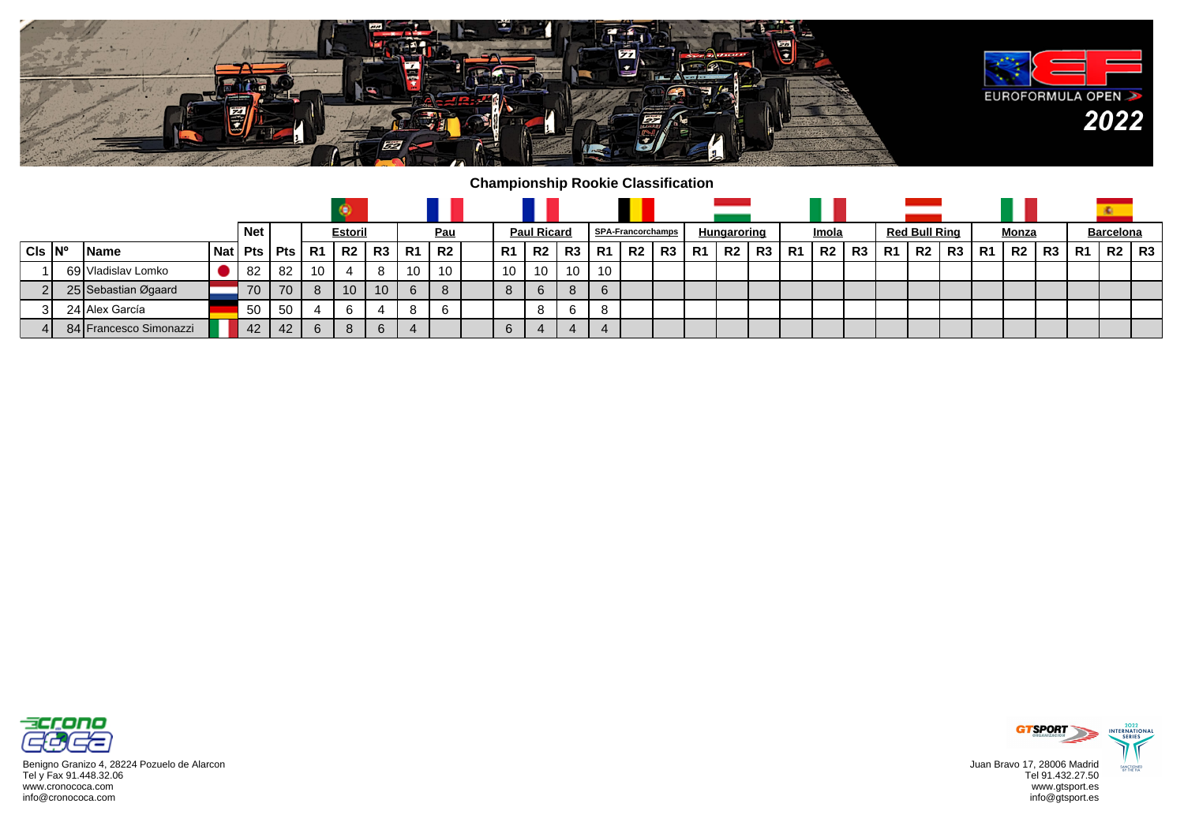

## **Championship Rookie Classification**

|                         |                        |            | <b>Net</b> |                |    | <b>Estoril</b> |    |           | <u>Pau</u> |    | <b>Paul Ricard</b> |    |                | <b>SPA-Francorchamps</b> |    |    | Hungaroring    |    |     | Imola     |    |           | <b>Red Bull Ring</b> |    |    | Monza |    |                | <b>Barcelona</b> |    |
|-------------------------|------------------------|------------|------------|----------------|----|----------------|----|-----------|------------|----|--------------------|----|----------------|--------------------------|----|----|----------------|----|-----|-----------|----|-----------|----------------------|----|----|-------|----|----------------|------------------|----|
| $CIs$ $\vert N^{\circ}$ | <b>IName</b>           | <b>Nat</b> |            | $Pts$ Pts $R1$ |    | <b>R2</b>      | R3 | <b>R1</b> | R2         | R1 | R2                 | R3 | R <sub>1</sub> | R <sub>2</sub>           | R3 | R1 | R <sub>2</sub> | R3 | -R1 | <b>R2</b> | R3 | <b>R1</b> | R2                   | R3 | R1 | R2    | R3 | R <sub>1</sub> | R2               | R3 |
|                         | 69 Vladislav Lomko     |            | -82        | -82            | 10 |                |    | 10.       | 10         | 10 | 10                 | 10 | 10             |                          |    |    |                |    |     |           |    |           |                      |    |    |       |    |                |                  |    |
| ິ                       | 25 Sebastian Øgaard    |            | 70         | 70             | 8  | 10             | 10 | 6         |            | 8  | 6                  | 8  | 6              |                          |    |    |                |    |     |           |    |           |                      |    |    |       |    |                |                  |    |
| 31                      | 24 Alex García         |            | 50         | -50            |    |                |    | 8         |            |    |                    | 6  | 8              |                          |    |    |                |    |     |           |    |           |                      |    |    |       |    |                |                  |    |
|                         | 84 Francesco Simonazzi |            | 42         | 42             | 6  | 8              | 6  |           |            | 6  | 4                  | 4  | 4              |                          |    |    |                |    |     |           |    |           |                      |    |    |       |    |                |                  |    |



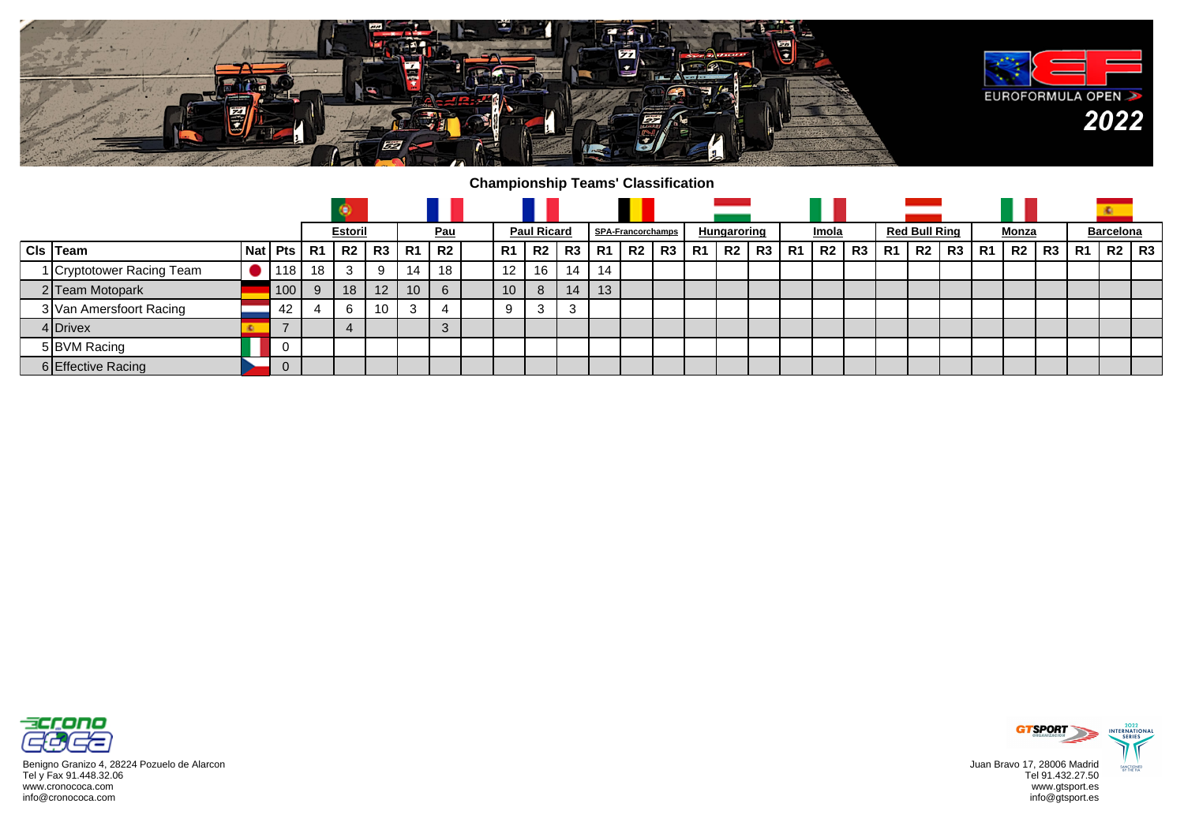

## **Championship Teams' Classification**

|  |                           |  |                  |           | <b>Estoril</b> |                 |           | <u>Pau</u> |                 | <b>Paul Ricard</b> |    |                | SPA-Francorchamps |    |    | Hungaroring    |    |           | Imola       |         | <b>Red Bull Ring</b> |    |    | <u>Monza</u> |    |           | <b>Barcelona</b> |    |
|--|---------------------------|--|------------------|-----------|----------------|-----------------|-----------|------------|-----------------|--------------------|----|----------------|-------------------|----|----|----------------|----|-----------|-------------|---------|----------------------|----|----|--------------|----|-----------|------------------|----|
|  | $Cls$ Team                |  | <b>Nat Pts I</b> | <b>R1</b> | R2             | R3              | <b>R1</b> | <b>R2</b>  | R1              | R <sub>2</sub>     | R3 | R <sub>1</sub> | R2                | R3 | R1 | R <sub>2</sub> | R3 | <b>R1</b> | <b>R2</b> I | R3   R1 | R2                   | R3 | R1 | -R2 I        | R3 | <b>R1</b> | R2               | R3 |
|  | 1 Cryptotower Racing Team |  | 118              | 18        | 3              | 9               | 14        | 18         | 12              | 16                 | 14 | 14             |                   |    |    |                |    |           |             |         |                      |    |    |              |    |           |                  |    |
|  | 2 Team Motopark           |  | 100              | 9         | 18             | 12 <sup>2</sup> | 10        | 6          | 10 <sup>1</sup> | 8                  | 14 | 13             |                   |    |    |                |    |           |             |         |                      |    |    |              |    |           |                  |    |
|  | 3 Van Amersfoort Racing   |  | 42               |           | 6              | 10 <sup>1</sup> |           |            | 9               | 3                  | 3  |                |                   |    |    |                |    |           |             |         |                      |    |    |              |    |           |                  |    |
|  | 4 Drivex                  |  |                  |           |                |                 |           |            |                 |                    |    |                |                   |    |    |                |    |           |             |         |                      |    |    |              |    |           |                  |    |
|  | 5 BVM Racing              |  |                  |           |                |                 |           |            |                 |                    |    |                |                   |    |    |                |    |           |             |         |                      |    |    |              |    |           |                  |    |
|  | 6 Effective Racing        |  | ◡                |           |                |                 |           |            |                 |                    |    |                |                   |    |    |                |    |           |             |         |                      |    |    |              |    |           |                  |    |



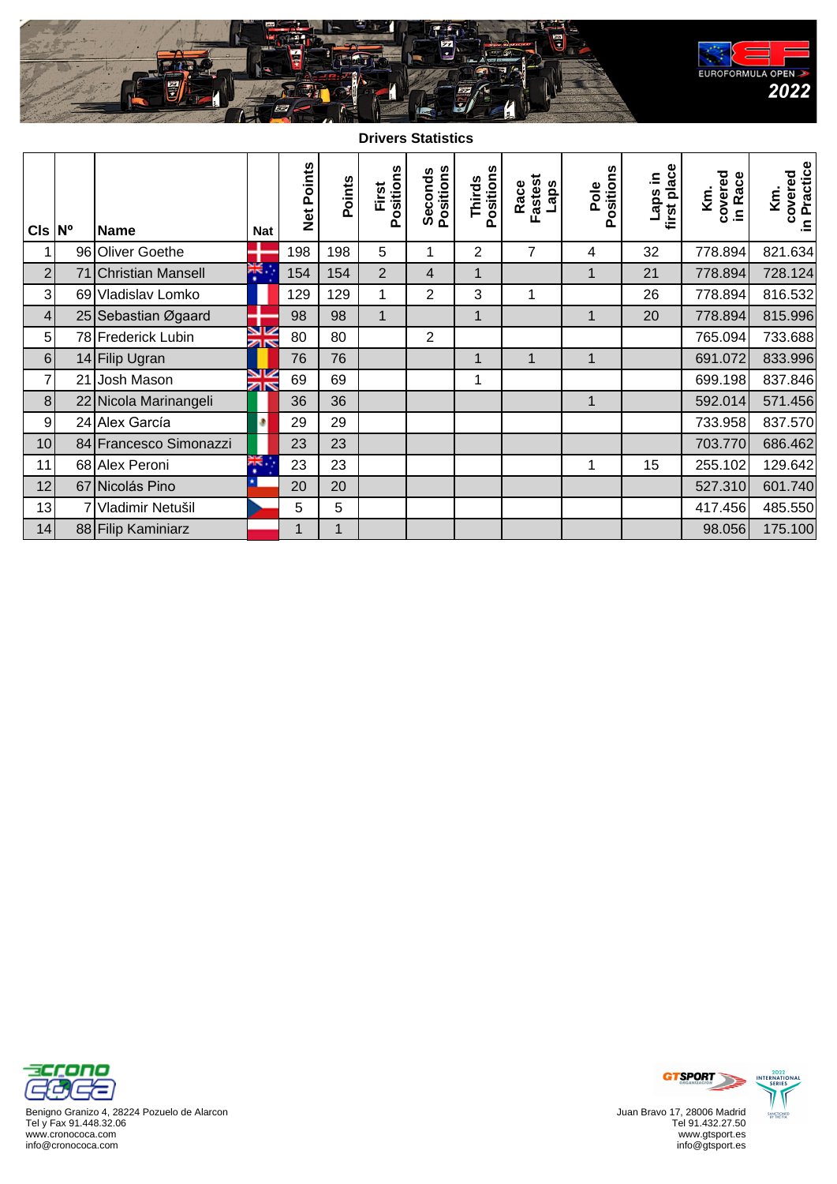

**Drivers Statistics**

| $Cls \,  N^{\circ} $ |    | <b>Name</b>            | <b>Nat</b>                    | Net Points | Points | Positions<br>First | Seconds<br>Positions | Positions<br>Thirds | Fastest<br>Race<br>Laps | Positions<br>Pole | first place<br>Laps in | covered<br>in Race<br>Κm. | covered<br>in Practice<br>Km. |
|----------------------|----|------------------------|-------------------------------|------------|--------|--------------------|----------------------|---------------------|-------------------------|-------------------|------------------------|---------------------------|-------------------------------|
| 1                    |    | 96 Oliver Goethe       |                               | 198        | 198    | 5                  | 1                    | 2                   | 7                       | 4                 | 32                     | 778.894                   | 821.634                       |
| $\overline{2}$       |    | 71 Christian Mansell   | .¥.                           | 154        | 154    | $\overline{2}$     | $\overline{4}$       | 1                   |                         | 1                 | 21                     | 778.894                   | 728.124                       |
| $\mathbf{3}$         |    | 69 Vladislav Lomko     |                               | 129        | 129    | 1                  | $\overline{2}$       | 3                   | 1                       |                   | 26                     | 778.894                   | 816.532                       |
| $\vert 4 \vert$      |    | 25 Sebastian Øgaard    |                               | 98         | 98     | $\mathbf{1}$       |                      | 1                   |                         | 1                 | 20                     | 778.894                   | 815.996                       |
| 5 <sup>1</sup>       |    | 78 Frederick Lubin     | V<br>zir                      | 80         | 80     |                    | 2                    |                     |                         |                   |                        | 765.094                   | 733.688                       |
| 6                    |    | 14 Filip Ugran         |                               | 76         | 76     |                    |                      | 1                   | 1                       | 1                 |                        | 691.072                   | 833.996                       |
| $\overline{7}$       | 21 | Josh Mason             | VZ<br>$\overline{\mathbf{z}}$ | 69         | 69     |                    |                      | 1                   |                         |                   |                        | 699.198                   | 837.846                       |
| 8 <sup>1</sup>       |    | 22 Nicola Marinangeli  |                               | 36         | 36     |                    |                      |                     |                         | 1                 |                        | 592.014                   | 571.456                       |
| 9                    |    | 24 Alex García         | ۰                             | 29         | 29     |                    |                      |                     |                         |                   |                        | 733.958                   | 837.570                       |
| 10                   |    | 84 Francesco Simonazzi |                               | 23         | 23     |                    |                      |                     |                         |                   |                        | 703.770                   | 686.462                       |
| 11                   |    | 68 Alex Peroni         | 派<br>٠                        | 23         | 23     |                    |                      |                     |                         | 1                 | 15                     | 255.102                   | 129.642                       |
| 12                   |    | 67 Nicolás Pino        |                               | 20         | 20     |                    |                      |                     |                         |                   |                        | 527.310                   | 601.740                       |
| 13                   |    | Vladimir Netušil       |                               | 5          | 5      |                    |                      |                     |                         |                   |                        | 417.456                   | 485.550                       |
| 14                   |    | 88 Filip Kaminiarz     |                               | 1          | 1      |                    |                      |                     |                         |                   |                        | 98.056                    | 175.100                       |



Benigno Granizo 4, 28224 Pozuelo de Alarcon Tel y Fax 91.448.32.06 www.cronococa.com info@cronococa.com



Juan Bravo 17, 28006 Madrid Tel 91.432.27.50 www.gtsport.es info@gtsport.es



2022